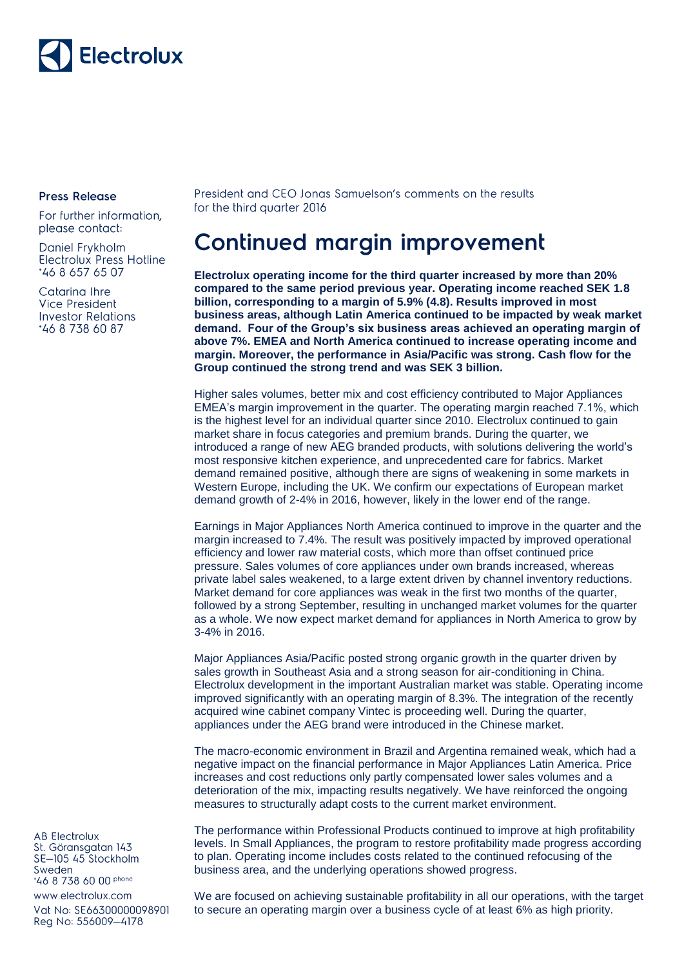

## **Press Release**

For further information, please contact:

Daniel Frykholm Electrolux Press Hotline \*46 8 657 65 07

Catarina Ihre Vice President **Investor Relations** \*46 8 738 60 87

President and CEO Jonas Samuelson's comments on the results for the third quarter 2016

## **Continued margin improvement**

**Electrolux operating income for the third quarter increased by more than 20% compared to the same period previous year. Operating income reached SEK 1.8 billion, corresponding to a margin of 5.9% (4.8). Results improved in most business areas, although Latin America continued to be impacted by weak market demand. Four of the Group's six business areas achieved an operating margin of above 7%. EMEA and North America continued to increase operating income and margin. Moreover, the performance in Asia/Pacific was strong. Cash flow for the Group continued the strong trend and was SEK 3 billion.**

Higher sales volumes, better mix and cost efficiency contributed to Major Appliances EMEA's margin improvement in the quarter. The operating margin reached 7.1%, which is the highest level for an individual quarter since 2010. Electrolux continued to gain market share in focus categories and premium brands. During the quarter, we introduced a range of new AEG branded products, with solutions delivering the world's most responsive kitchen experience, and unprecedented care for fabrics. Market demand remained positive, although there are signs of weakening in some markets in Western Europe, including the UK. We confirm our expectations of European market demand growth of 2-4% in 2016, however, likely in the lower end of the range.

Earnings in Major Appliances North America continued to improve in the quarter and the margin increased to 7.4%. The result was positively impacted by improved operational efficiency and lower raw material costs, which more than offset continued price pressure. Sales volumes of core appliances under own brands increased, whereas private label sales weakened, to a large extent driven by channel inventory reductions. Market demand for core appliances was weak in the first two months of the quarter, followed by a strong September, resulting in unchanged market volumes for the quarter as a whole. We now expect market demand for appliances in North America to grow by 3-4% in 2016.

Major Appliances Asia/Pacific posted strong organic growth in the quarter driven by sales growth in Southeast Asia and a strong season for air-conditioning in China. Electrolux development in the important Australian market was stable. Operating income improved significantly with an operating margin of 8.3%. The integration of the recently acquired wine cabinet company Vintec is proceeding well. During the quarter, appliances under the AEG brand were introduced in the Chinese market.

The macro-economic environment in Brazil and Argentina remained weak, which had a negative impact on the financial performance in Major Appliances Latin America. Price increases and cost reductions only partly compensated lower sales volumes and a deterioration of the mix, impacting results negatively. We have reinforced the ongoing measures to structurally adapt costs to the current market environment.

The performance within Professional Products continued to improve at high profitability levels. In Small Appliances, the program to restore profitability made progress according to plan. Operating income includes costs related to the continued refocusing of the business area, and the underlying operations showed progress.

We are focused on achieving sustainable profitability in all our operations, with the target to secure an operating margin over a business cycle of at least 6% as high priority.

**AB Electrolux** St. Göransgatan 143 SE-105 45 Stockholm Sweden 46 8 738 60 00 phone

www.electrolux.com Vat No: SE66300000098901 Reg No: 556009-4178